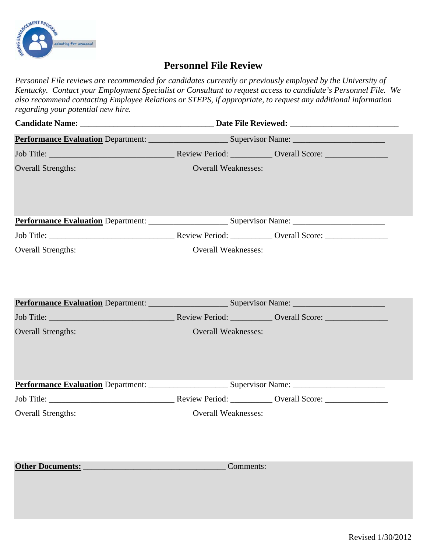

## **Personnel File Review**

*Personnel File reviews are recommended for candidates currently or previously employed by the University of Kentucky. Contact your Employment Specialist or Consultant to request access to candidate's Personnel File. We also recommend contacting Employee Relations or STEPS, if appropriate, to request any additional information regarding your potential new hire.*

|                                                                        | Performance Evaluation Department: Supervisor Name: Supervisor Name: |  |  |
|------------------------------------------------------------------------|----------------------------------------------------------------------|--|--|
|                                                                        |                                                                      |  |  |
| <b>Overall Strengths:</b>                                              | <b>Overall Weaknesses:</b>                                           |  |  |
|                                                                        |                                                                      |  |  |
|                                                                        |                                                                      |  |  |
| <b>Overall Strengths:</b>                                              | <b>Overall Weaknesses:</b>                                           |  |  |
| Performance Evaluation Department: Supervisor Name: Supervisor Name:   |                                                                      |  |  |
| Job Title: Neview Period: Neview Period: Neview Period: Neview Period: |                                                                      |  |  |
| <b>Overall Strengths:</b>                                              | <b>Overall Weaknesses:</b>                                           |  |  |
|                                                                        |                                                                      |  |  |
|                                                                        |                                                                      |  |  |
| <b>Overall Strengths:</b>                                              | <b>Overall Weaknesses:</b>                                           |  |  |
| Other Documents: Comments:                                             |                                                                      |  |  |